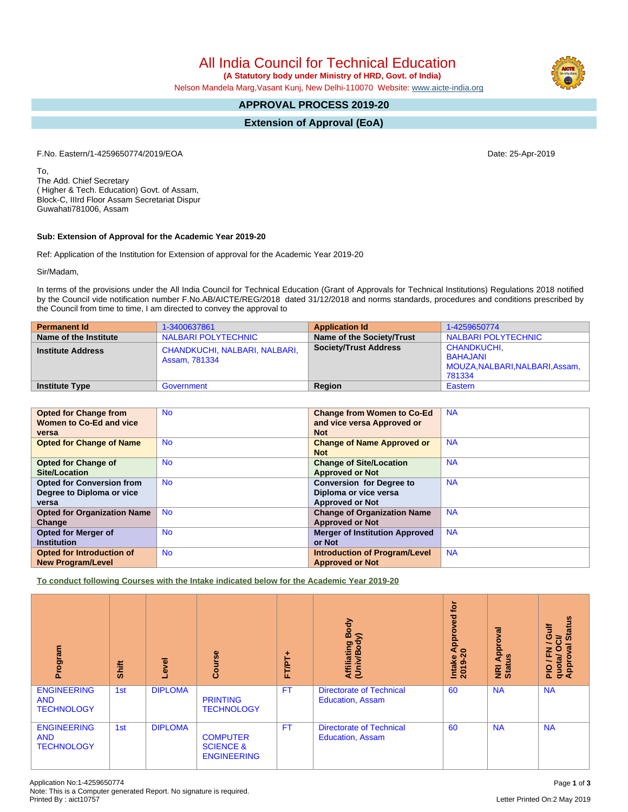All India Council for Technical Education

 **(A Statutory body under Ministry of HRD, Govt. of India)**

Nelson Mandela Marg,Vasant Kunj, New Delhi-110070 Website: [www.aicte-india.org](http://www.aicte-india.org)

# **APPROVAL PROCESS 2019-20**

# **Extension of Approval (EoA)**

F.No. Eastern/1-4259650774/2019/EOA Date: 25-Apr-2019

To, The Add. Chief Secretary ( Higher & Tech. Education) Govt. of Assam, Block-C, IIIrd Floor Assam Secretariat Dispur Guwahati781006, Assam

## **Sub: Extension of Approval for the Academic Year 2019-20**

Ref: Application of the Institution for Extension of approval for the Academic Year 2019-20

Sir/Madam,

In terms of the provisions under the All India Council for Technical Education (Grant of Approvals for Technical Institutions) Regulations 2018 notified by the Council vide notification number F.No.AB/AICTE/REG/2018 dated 31/12/2018 and norms standards, procedures and conditions prescribed by the Council from time to time, I am directed to convey the approval to

| <b>Permanent Id</b>      | 1-3400637861                                   | <b>Application Id</b>        | 1-4259650774                                                         |
|--------------------------|------------------------------------------------|------------------------------|----------------------------------------------------------------------|
| Name of the Institute    | NALBARI POLYTECHNIC                            | Name of the Society/Trust    | NALBARI POLYTECHNIC                                                  |
| <b>Institute Address</b> | CHANDKUCHI, NALBARI, NALBARI,<br>Assam, 781334 | <b>Society/Trust Address</b> | CHANDKUCHI.<br>BAHAJANI<br>MOUZA, NALBARI, NALBARI, Assam,<br>781334 |
| <b>Institute Type</b>    | Government                                     | Region                       | Eastern                                                              |

| <b>Opted for Change from</b>       | <b>No</b> | <b>Change from Women to Co-Ed</b>     | <b>NA</b> |
|------------------------------------|-----------|---------------------------------------|-----------|
| Women to Co-Ed and vice            |           | and vice versa Approved or            |           |
| versa                              |           | <b>Not</b>                            |           |
| <b>Opted for Change of Name</b>    | <b>No</b> | <b>Change of Name Approved or</b>     | <b>NA</b> |
|                                    |           | <b>Not</b>                            |           |
| <b>Opted for Change of</b>         | <b>No</b> | <b>Change of Site/Location</b>        | <b>NA</b> |
| Site/Location                      |           | <b>Approved or Not</b>                |           |
| <b>Opted for Conversion from</b>   | <b>No</b> | <b>Conversion for Degree to</b>       | <b>NA</b> |
| Degree to Diploma or vice          |           | Diploma or vice versa                 |           |
| versa                              |           | <b>Approved or Not</b>                |           |
| <b>Opted for Organization Name</b> | <b>No</b> | <b>Change of Organization Name</b>    | <b>NA</b> |
| Change                             |           | <b>Approved or Not</b>                |           |
| <b>Opted for Merger of</b>         | <b>No</b> | <b>Merger of Institution Approved</b> | <b>NA</b> |
| <b>Institution</b>                 |           | or Not                                |           |
| <b>Opted for Introduction of</b>   | <b>No</b> | <b>Introduction of Program/Level</b>  | <b>NA</b> |
| <b>New Program/Level</b>           |           | <b>Approved or Not</b>                |           |

**To conduct following Courses with the Intake indicated below for the Academic Year 2019-20**

| Program                                               | Shift | Level          | Course                                                        | FT/PT+    | Body<br>⋦<br>Affiliating I<br>(Univ/Body                   | tor<br>yed<br>ē<br>휸<br>ہ ⊼<br>Intake<br>2019-2 | Approval<br>9ù<br>NRI<br>Stat | <b>Status</b><br><b>Jir</b><br><b>OCI</b><br>quota/OC<br>Approval:<br><b>KH</b><br>$\frac{Q}{n}$ |
|-------------------------------------------------------|-------|----------------|---------------------------------------------------------------|-----------|------------------------------------------------------------|-------------------------------------------------|-------------------------------|--------------------------------------------------------------------------------------------------|
| <b>ENGINEERING</b><br><b>AND</b><br><b>TECHNOLOGY</b> | 1st   | <b>DIPLOMA</b> | <b>PRINTING</b><br><b>TECHNOLOGY</b>                          | <b>FT</b> | <b>Directorate of Technical</b><br><b>Education, Assam</b> | 60                                              | <b>NA</b>                     | <b>NA</b>                                                                                        |
| <b>ENGINEERING</b><br><b>AND</b><br><b>TECHNOLOGY</b> | 1st   | <b>DIPLOMA</b> | <b>COMPUTER</b><br><b>SCIENCE &amp;</b><br><b>ENGINEERING</b> | <b>FT</b> | <b>Directorate of Technical</b><br><b>Education, Assam</b> | 60                                              | <b>NA</b>                     | <b>NA</b>                                                                                        |

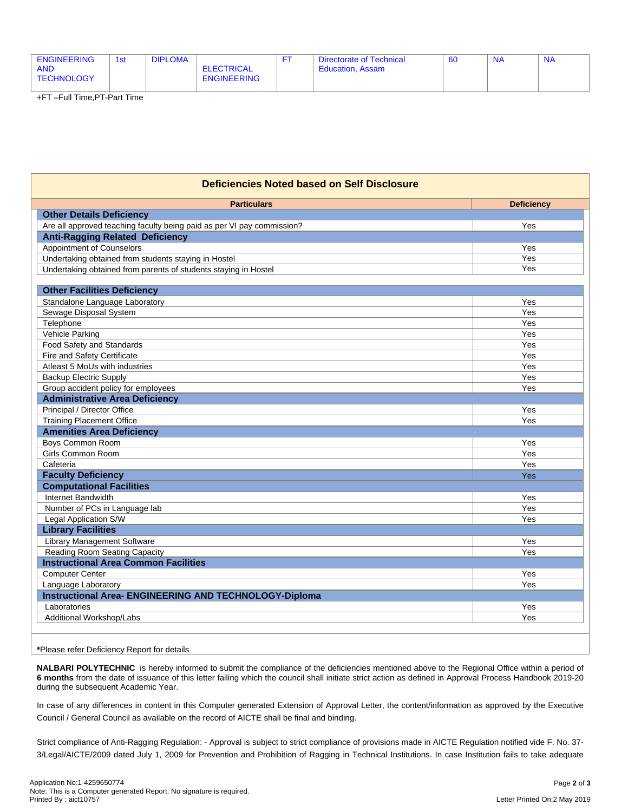| <b>ENGINEERING</b><br><b>AND</b><br><b>TECHNOLOGY</b> | 1st | <b>DIPLOMA</b> | <b>ELECTRICAL</b><br><b>ENGINEERING</b> |  | Directorate of Technical<br><b>Education, Assam</b> | -60 | <b>NA</b> | <b>NA</b> |
|-------------------------------------------------------|-----|----------------|-----------------------------------------|--|-----------------------------------------------------|-----|-----------|-----------|
|-------------------------------------------------------|-----|----------------|-----------------------------------------|--|-----------------------------------------------------|-----|-----------|-----------|

+FT –Full Time,PT-Part Time

| <b>Deficiencies Noted based on Self Disclosure</b>                     |                   |  |  |  |  |  |
|------------------------------------------------------------------------|-------------------|--|--|--|--|--|
| <b>Particulars</b>                                                     | <b>Deficiency</b> |  |  |  |  |  |
| <b>Other Details Deficiency</b>                                        |                   |  |  |  |  |  |
| Are all approved teaching faculty being paid as per VI pay commission? | Yes               |  |  |  |  |  |
| <b>Anti-Ragging Related Deficiency</b>                                 |                   |  |  |  |  |  |
| Appointment of Counselors                                              | Yes               |  |  |  |  |  |
| Undertaking obtained from students staying in Hostel                   | Yes               |  |  |  |  |  |
| Undertaking obtained from parents of students staying in Hostel        | Yes               |  |  |  |  |  |
|                                                                        |                   |  |  |  |  |  |
| <b>Other Facilities Deficiency</b>                                     |                   |  |  |  |  |  |
| Standalone Language Laboratory                                         | Yes               |  |  |  |  |  |
| Sewage Disposal System                                                 | Yes               |  |  |  |  |  |
| Telephone                                                              | Yes               |  |  |  |  |  |
| <b>Vehicle Parking</b>                                                 | Yes               |  |  |  |  |  |
| Food Safety and Standards                                              | Yes               |  |  |  |  |  |
| Fire and Safety Certificate                                            | Yes               |  |  |  |  |  |
| Atleast 5 MoUs with industries                                         | Yes               |  |  |  |  |  |
| <b>Backup Electric Supply</b>                                          | Yes               |  |  |  |  |  |
| Group accident policy for employees                                    | Yes               |  |  |  |  |  |
| <b>Administrative Area Deficiency</b>                                  |                   |  |  |  |  |  |
| Principal / Director Office                                            | Yes               |  |  |  |  |  |
| <b>Training Placement Office</b>                                       | Yes               |  |  |  |  |  |
| <b>Amenities Area Deficiency</b>                                       |                   |  |  |  |  |  |
| Boys Common Room                                                       | Yes               |  |  |  |  |  |
| <b>Girls Common Room</b>                                               | Yes               |  |  |  |  |  |
| Cafeteria                                                              | Yes               |  |  |  |  |  |
| <b>Faculty Deficiency</b>                                              | Yes               |  |  |  |  |  |
| <b>Computational Facilities</b>                                        |                   |  |  |  |  |  |
| Internet Bandwidth                                                     | Yes               |  |  |  |  |  |
| Number of PCs in Language lab                                          | Yes               |  |  |  |  |  |
| Legal Application S/W                                                  | Yes               |  |  |  |  |  |
| <b>Library Facilities</b>                                              |                   |  |  |  |  |  |
| Library Management Software                                            | Yes               |  |  |  |  |  |
| Reading Room Seating Capacity                                          | Yes               |  |  |  |  |  |
| <b>Instructional Area Common Facilities</b>                            |                   |  |  |  |  |  |
| <b>Computer Center</b>                                                 | Yes               |  |  |  |  |  |
| Language Laboratory                                                    | Yes               |  |  |  |  |  |
| <b>Instructional Area- ENGINEERING AND TECHNOLOGY-Diploma</b>          |                   |  |  |  |  |  |
| Laboratories                                                           | Yes               |  |  |  |  |  |
| Additional Workshop/Labs                                               | Yes               |  |  |  |  |  |
|                                                                        |                   |  |  |  |  |  |

#### **\***Please refer Deficiency Report for details

**NALBARI POLYTECHNIC** is hereby informed to submit the compliance of the deficiencies mentioned above to the Regional Office within a period of **6 months** from the date of issuance of this letter failing which the council shall initiate strict action as defined in Approval Process Handbook 2019-20 during the subsequent Academic Year.

In case of any differences in content in this Computer generated Extension of Approval Letter, the content/information as approved by the Executive Council / General Council as available on the record of AICTE shall be final and binding.

Strict compliance of Anti-Ragging Regulation: - Approval is subject to strict compliance of provisions made in AICTE Regulation notified vide F. No. 37- 3/Legal/AICTE/2009 dated July 1, 2009 for Prevention and Prohibition of Ragging in Technical Institutions. In case Institution fails to take adequate